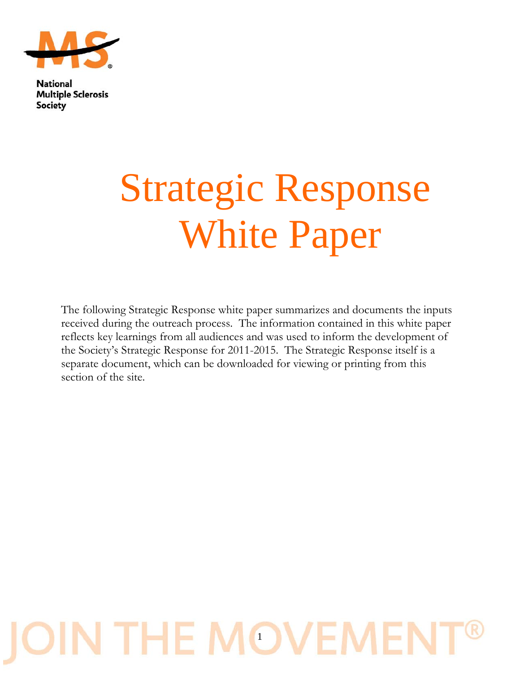

## Strategic Response White Paper

The following Strategic Response white paper summarizes and documents the inputs received during the outreach process. The information contained in this white paper reflects key learnings from all audiences and was used to inform the development of the Society's Strategic Response for 2011-2015. The Strategic Response itself is a separate document, which can be downloaded for viewing or printing from this section of the site.

# **IN THE MOVEME**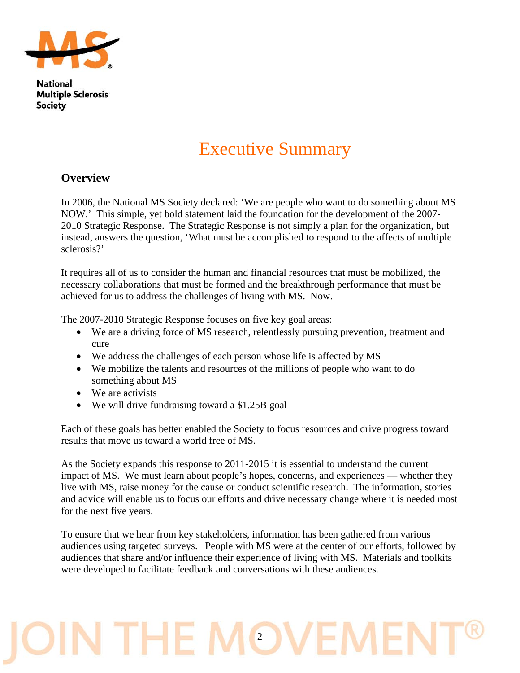

## Executive Summary

#### **Overview**

In 2006, the National MS Society declared: 'We are people who want to do something about MS NOW.' This simple, yet bold statement laid the foundation for the development of the 2007- 2010 Strategic Response. The Strategic Response is not simply a plan for the organization, but instead, answers the question, 'What must be accomplished to respond to the affects of multiple sclerosis?'

It requires all of us to consider the human and financial resources that must be mobilized, the necessary collaborations that must be formed and the breakthrough performance that must be achieved for us to address the challenges of living with MS. Now.

The 2007-2010 Strategic Response focuses on five key goal areas:

- We are a driving force of MS research, relentlessly pursuing prevention, treatment and cure
- We address the challenges of each person whose life is affected by MS
- We mobilize the talents and resources of the millions of people who want to do something about MS
- We are activists
- We will drive fundraising toward a \$1.25B goal

Each of these goals has better enabled the Society to focus resources and drive progress toward results that move us toward a world free of MS.

As the Society expands this response to 2011-2015 it is essential to understand the current impact of MS. We must learn about people's hopes, concerns, and experiences — whether they live with MS, raise money for the cause or conduct scientific research. The information, stories and advice will enable us to focus our efforts and drive necessary change where it is needed most for the next five years.

To ensure that we hear from key stakeholders, information has been gathered from various audiences using targeted surveys. People with MS were at the center of our efforts, followed by audiences that share and/or influence their experience of living with MS. Materials and toolkits were developed to facilitate feedback and conversations with these audiences.

## N THE MO'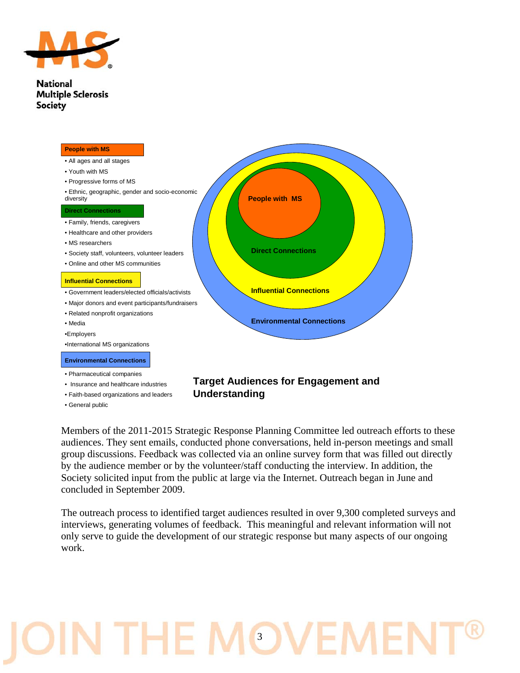



- Insurance and healthcare industries
- Faith-based organizations and leaders
- General public

#### **Target Audiences for Engagement and Understanding**

Members of the 2011-2015 Strategic Response Planning Committee led outreach efforts to these audiences. They sent emails, conducted phone conversations, held in-person meetings and small group discussions. Feedback was collected via an online survey form that was filled out directly by the audience member or by the volunteer/staff conducting the interview. In addition, the Society solicited input from the public at large via the Internet. Outreach began in June and concluded in September 2009.

The outreach process to identified target audiences resulted in over 9,300 completed surveys and interviews, generating volumes of feedback. This meaningful and relevant information will not only serve to guide the development of our strategic response but many aspects of our ongoing work.

## **N THE MOVEM**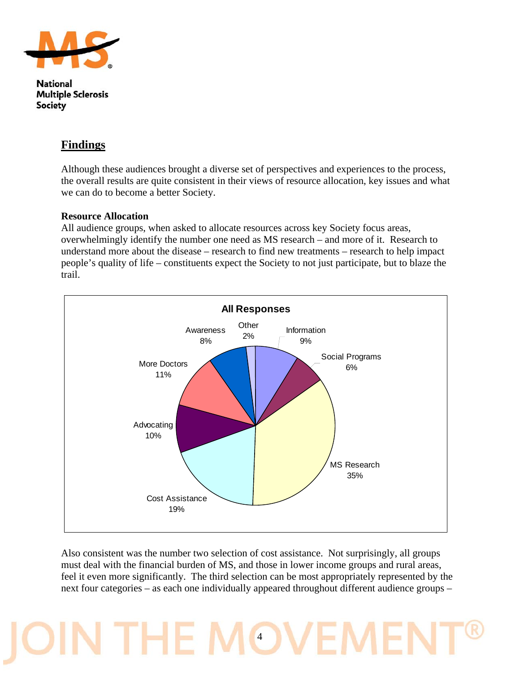

#### **Findings**

Although these audiences brought a diverse set of perspectives and experiences to the process, the overall results are quite consistent in their views of resource allocation, key issues and what we can do to become a better Society.

#### **Resource Allocation**

All audience groups, when asked to allocate resources across key Society focus areas, overwhelmingly identify the number one need as MS research – and more of it. Research to understand more about the disease – research to find new treatments – research to help impact people's quality of life – constituents expect the Society to not just participate, but to blaze the trail.



Also consistent was the number two selection of cost assistance. Not surprisingly, all groups must deal with the financial burden of MS, and those in lower income groups and rural areas, feel it even more significantly. The third selection can be most appropriately represented by the next four categories – as each one individually appeared throughout different audience groups –

## THET 4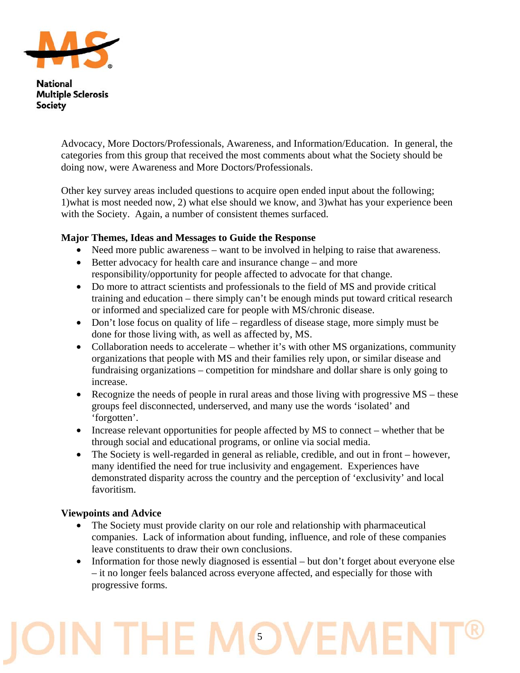

> Advocacy, More Doctors/Professionals, Awareness, and Information/Education. In general, the categories from this group that received the most comments about what the Society should be doing now, were Awareness and More Doctors/Professionals.

> Other key survey areas included questions to acquire open ended input about the following; 1)what is most needed now, 2) what else should we know, and 3)what has your experience been with the Society. Again, a number of consistent themes surfaced.

#### **Major Themes, Ideas and Messages to Guide the Response**

- Need more public awareness want to be involved in helping to raise that awareness.
- Better advocacy for health care and insurance change and more responsibility/opportunity for people affected to advocate for that change.
- Do more to attract scientists and professionals to the field of MS and provide critical training and education – there simply can't be enough minds put toward critical research or informed and specialized care for people with MS/chronic disease.
- Don't lose focus on quality of life regardless of disease stage, more simply must be done for those living with, as well as affected by, MS.
- Collaboration needs to accelerate whether it's with other MS organizations, community organizations that people with MS and their families rely upon, or similar disease and fundraising organizations – competition for mindshare and dollar share is only going to increase.
- Recognize the needs of people in rural areas and those living with progressive MS these groups feel disconnected, underserved, and many use the words 'isolated' and 'forgotten'.
- Increase relevant opportunities for people affected by MS to connect whether that be through social and educational programs, or online via social media.
- The Society is well-regarded in general as reliable, credible, and out in front however, many identified the need for true inclusivity and engagement. Experiences have demonstrated disparity across the country and the perception of 'exclusivity' and local favoritism.

#### **Viewpoints and Advice**

- The Society must provide clarity on our role and relationship with pharmaceutical companies. Lack of information about funding, influence, and role of these companies leave constituents to draw their own conclusions.
- Information for those newly diagnosed is essential but don't forget about everyone else – it no longer feels balanced across everyone affected, and especially for those with progressive forms.

## IN THE MOV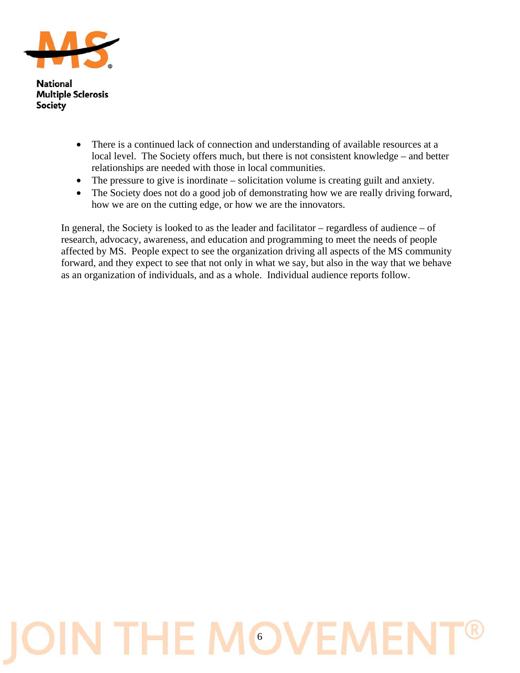

- There is a continued lack of connection and understanding of available resources at a local level. The Society offers much, but there is not consistent knowledge – and better relationships are needed with those in local communities.
- The pressure to give is inordinate solicitation volume is creating guilt and anxiety.
- The Society does not do a good job of demonstrating how we are really driving forward, how we are on the cutting edge, or how we are the innovators.

In general, the Society is looked to as the leader and facilitator – regardless of audience – of research, advocacy, awareness, and education and programming to meet the needs of people affected by MS. People expect to see the organization driving all aspects of the MS community forward, and they expect to see that not only in what we say, but also in the way that we behave as an organization of individuals, and as a whole. Individual audience reports follow.

## IN THE MOVEM  $|{\bf{O}}$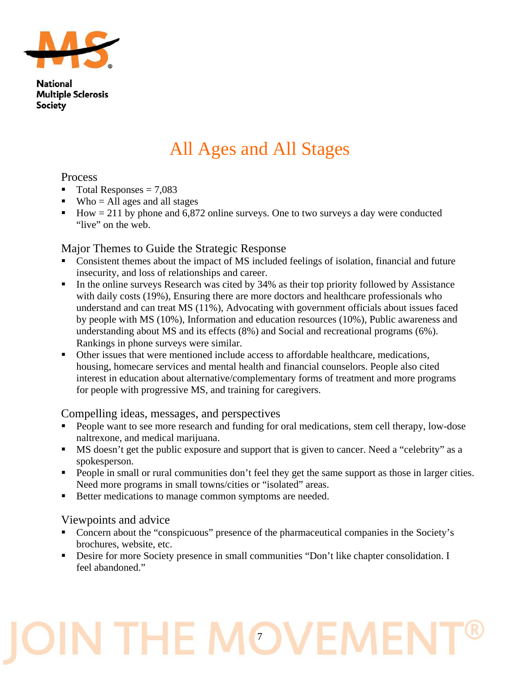

## All Ages and All Stages

#### Process

- $\blacksquare$  Total Responses = 7,083
- $\blacksquare$  Who = All ages and all stages
- How  $= 211$  by phone and 6,872 online surveys. One to two surveys a day were conducted "live" on the web.

#### Major Themes to Guide the Strategic Response

- Consistent themes about the impact of MS included feelings of isolation, financial and future insecurity, and loss of relationships and career.
- In the online surveys Research was cited by 34% as their top priority followed by Assistance with daily costs (19%), Ensuring there are more doctors and healthcare professionals who understand and can treat MS (11%), Advocating with government officials about issues faced by people with MS (10%), Information and education resources (10%), Public awareness and understanding about MS and its effects (8%) and Social and recreational programs (6%). Rankings in phone surveys were similar.
- Other issues that were mentioned include access to affordable healthcare, medications, housing, homecare services and mental health and financial counselors. People also cited interest in education about alternative/complementary forms of treatment and more programs for people with progressive MS, and training for caregivers.

#### Compelling ideas, messages, and perspectives

- People want to see more research and funding for oral medications, stem cell therapy, low-dose naltrexone, and medical marijuana.
- MS doesn't get the public exposure and support that is given to cancer. Need a "celebrity" as a spokesperson.
- People in small or rural communities don't feel they get the same support as those in larger cities. Need more programs in small towns/cities or "isolated" areas.
- Better medications to manage common symptoms are needed.

#### Viewpoints and advice

- Concern about the "conspicuous" presence of the pharmaceutical companies in the Society's brochures, website, etc.
- **•** Desire for more Society presence in small communities "Don't like chapter consolidation. I feel abandoned."

## **J THE MOV**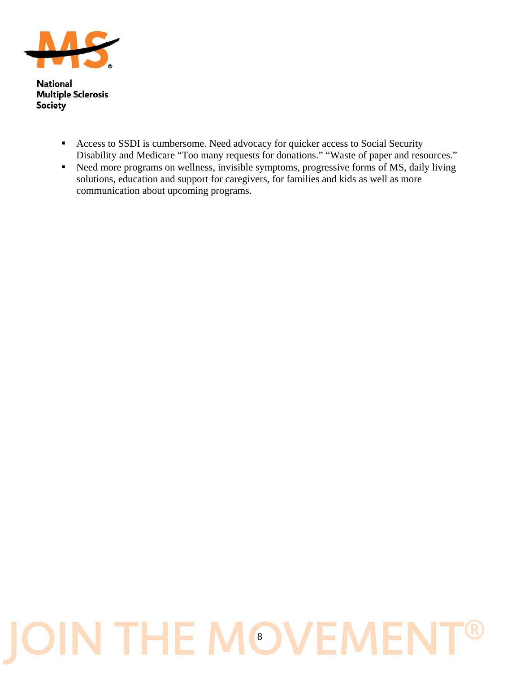

- Access to SSDI is cumbersome. Need advocacy for quicker access to Social Security Disability and Medicare "Too many requests for donations." "Waste of paper and resources."
- Need more programs on wellness, invisible symptoms, progressive forms of MS, daily living solutions, education and support for caregivers, for families and kids as well as more communication about upcoming programs.

## IN THE MOVEME IÕ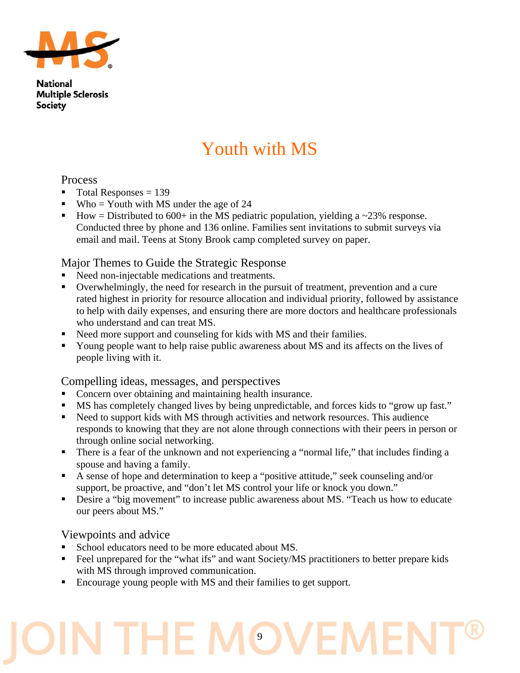

## Youth with MS

#### Process

- $\blacksquare$  Total Responses = 139
- Who = Youth with MS under the age of  $24$
- How = Distributed to 600+ in the MS pediatric population, yielding a  $\sim$ 23% response. Conducted three by phone and 136 online. Families sent invitations to submit surveys via email and mail. Teens at Stony Brook camp completed survey on paper.

#### Major Themes to Guide the Strategic Response

- Need non-injectable medications and treatments.
- Overwhelmingly, the need for research in the pursuit of treatment, prevention and a cure rated highest in priority for resource allocation and individual priority, followed by assistance to help with daily expenses, and ensuring there are more doctors and healthcare professionals who understand and can treat MS.
- Need more support and counseling for kids with MS and their families.
- Young people want to help raise public awareness about MS and its affects on the lives of people living with it.

#### Compelling ideas, messages, and perspectives

- Concern over obtaining and maintaining health insurance.
- MS has completely changed lives by being unpredictable, and forces kids to "grow up fast."
- Need to support kids with MS through activities and network resources. This audience responds to knowing that they are not alone through connections with their peers in person or through online social networking.
- There is a fear of the unknown and not experiencing a "normal life," that includes finding a spouse and having a family.
- A sense of hope and determination to keep a "positive attitude," seek counseling and/or support, be proactive, and "don't let MS control your life or knock you down."
- Desire a "big movement" to increase public awareness about MS. "Teach us how to educate our peers about MS."

#### Viewpoints and advice

- School educators need to be more educated about MS.
- Feel unprepared for the "what ifs" and want Society/MS practitioners to better prepare kids with MS through improved communication.
- Encourage young people with MS and their families to get support.

## J THE I 9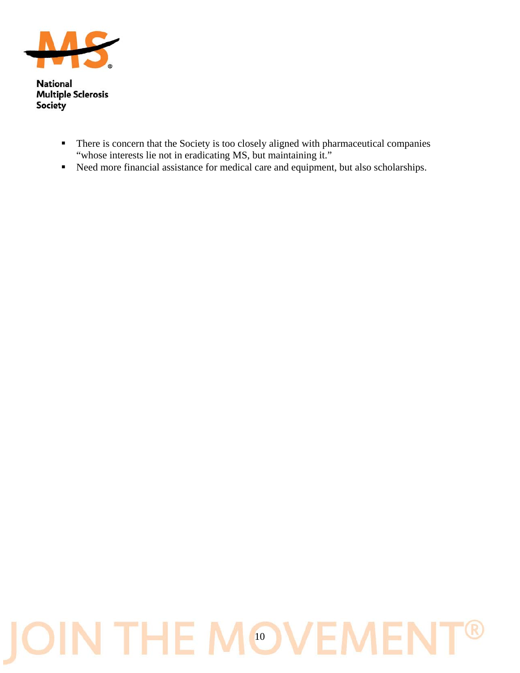

- **There is concern that the Society is too closely aligned with pharmaceutical companies** "whose interests lie not in eradicating MS, but maintaining it."
- Reed more financial assistance for medical care and equipment, but also scholarships.

#### IN THE MOVEME R IO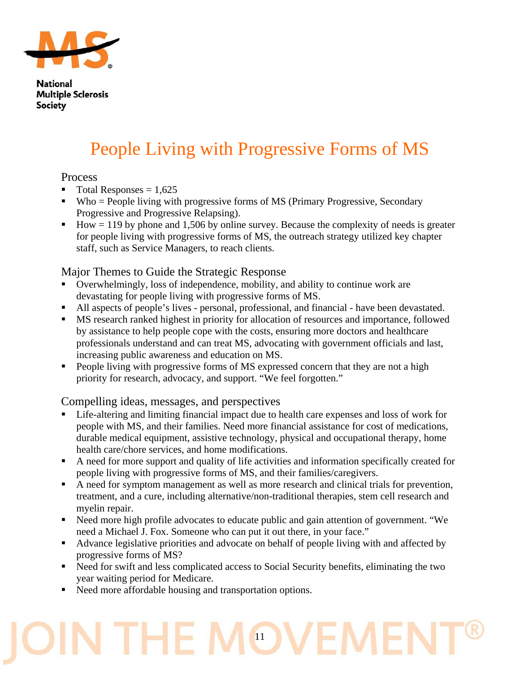

## People Living with Progressive Forms of MS

#### **Process**

- $\blacksquare$  Total Responses = 1,625
- $\blacksquare$  Who = People living with progressive forms of MS (Primary Progressive, Secondary Progressive and Progressive Relapsing).
- $\blacksquare$  How = 119 by phone and 1,506 by online survey. Because the complexity of needs is greater for people living with progressive forms of MS, the outreach strategy utilized key chapter staff, such as Service Managers, to reach clients.

#### Major Themes to Guide the Strategic Response

- Overwhelmingly, loss of independence, mobility, and ability to continue work are devastating for people living with progressive forms of MS.
- All aspects of people's lives personal, professional, and financial have been devastated.
- MS research ranked highest in priority for allocation of resources and importance, followed by assistance to help people cope with the costs, ensuring more doctors and healthcare professionals understand and can treat MS, advocating with government officials and last, increasing public awareness and education on MS.
- People living with progressive forms of MS expressed concern that they are not a high priority for research, advocacy, and support. "We feel forgotten."

#### Compelling ideas, messages, and perspectives

- Life-altering and limiting financial impact due to health care expenses and loss of work for people with MS, and their families. Need more financial assistance for cost of medications, durable medical equipment, assistive technology, physical and occupational therapy, home health care/chore services, and home modifications.
- A need for more support and quality of life activities and information specifically created for people living with progressive forms of MS, and their families/caregivers.
- A need for symptom management as well as more research and clinical trials for prevention, treatment, and a cure, including alternative/non-traditional therapies, stem cell research and myelin repair.
- Need more high profile advocates to educate public and gain attention of government. "We need a Michael J. Fox. Someone who can put it out there, in your face."
- Advance legislative priorities and advocate on behalf of people living with and affected by progressive forms of MS?
- Need for swift and less complicated access to Social Security benefits, eliminating the two year waiting period for Medicare.
- Need more affordable housing and transportation options.

## THE 11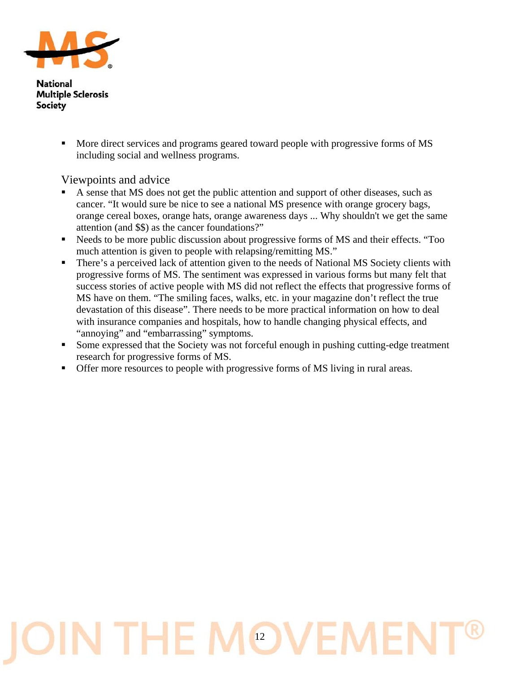

> More direct services and programs geared toward people with progressive forms of MS including social and wellness programs.

Viewpoints and advice

- A sense that MS does not get the public attention and support of other diseases, such as cancer. "It would sure be nice to see a national MS presence with orange grocery bags, orange cereal boxes, orange hats, orange awareness days ... Why shouldn't we get the same attention (and \$\$) as the cancer foundations?"
- Needs to be more public discussion about progressive forms of MS and their effects. "Too much attention is given to people with relapsing/remitting MS."
- There's a perceived lack of attention given to the needs of National MS Society clients with progressive forms of MS. The sentiment was expressed in various forms but many felt that success stories of active people with MS did not reflect the effects that progressive forms of MS have on them. "The smiling faces, walks, etc. in your magazine don't reflect the true devastation of this disease". There needs to be more practical information on how to deal with insurance companies and hospitals, how to handle changing physical effects, and "annoying" and "embarrassing" symptoms.
- Some expressed that the Society was not forceful enough in pushing cutting-edge treatment research for progressive forms of MS.
- Offer more resources to people with progressive forms of MS living in rural areas.

## IN THE MOV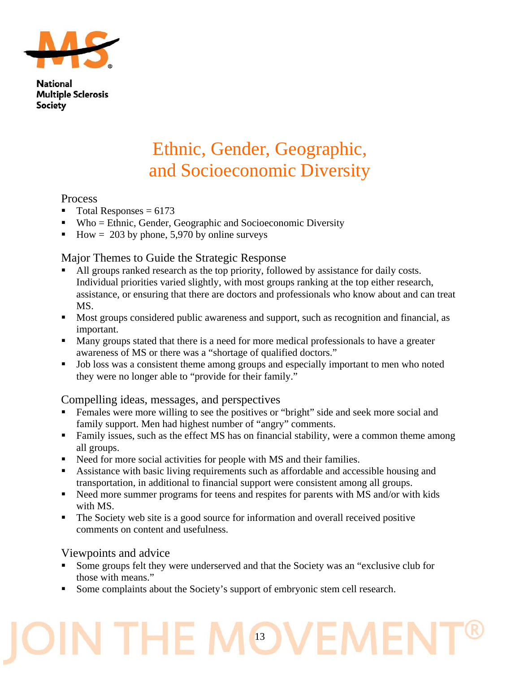

## Ethnic, Gender, Geographic, and Socioeconomic Diversity

#### Process

- $\blacksquare$  Total Responses = 6173
- $\blacksquare$  Who = Ethnic, Gender, Geographic and Socioeconomic Diversity
- How = 203 by phone, 5,970 by online surveys

#### Major Themes to Guide the Strategic Response

- All groups ranked research as the top priority, followed by assistance for daily costs. Individual priorities varied slightly, with most groups ranking at the top either research, assistance, or ensuring that there are doctors and professionals who know about and can treat MS.
- Most groups considered public awareness and support, such as recognition and financial, as important.
- **Many groups stated that there is a need for more medical professionals to have a greater** awareness of MS or there was a "shortage of qualified doctors."
- Job loss was a consistent theme among groups and especially important to men who noted they were no longer able to "provide for their family."

#### Compelling ideas, messages, and perspectives

- Females were more willing to see the positives or "bright" side and seek more social and family support. Men had highest number of "angry" comments.
- Family issues, such as the effect MS has on financial stability, were a common theme among all groups.
- Need for more social activities for people with MS and their families.
- Assistance with basic living requirements such as affordable and accessible housing and transportation, in additional to financial support were consistent among all groups.
- Need more summer programs for teens and respites for parents with MS and/or with kids with MS.
- The Society web site is a good source for information and overall received positive comments on content and usefulness.

#### Viewpoints and advice

THE

 Some groups felt they were underserved and that the Society was an "exclusive club for those with means."

13

Some complaints about the Society's support of embryonic stem cell research.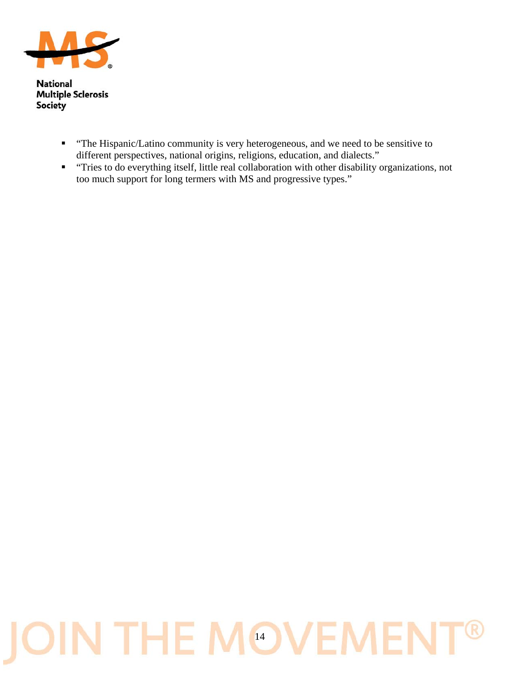

- "The Hispanic/Latino community is very heterogeneous, and we need to be sensitive to different perspectives, national origins, religions, education, and dialects."
- "Tries to do everything itself, little real collaboration with other disability organizations, not too much support for long termers with MS and progressive types."

### IN THE MOVEME R IÕ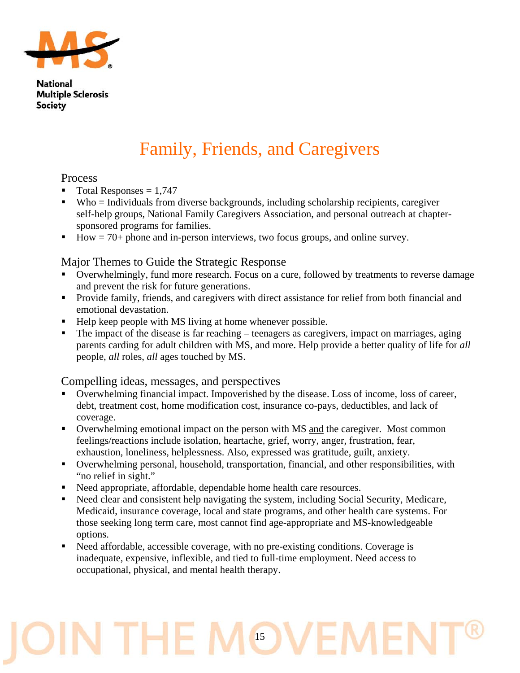

## Family, Friends, and Caregivers

#### Process

- $\blacksquare$  Total Responses = 1,747
- Who = Individuals from diverse backgrounds, including scholarship recipients, caregiver self-help groups, National Family Caregivers Association, and personal outreach at chaptersponsored programs for families.
- $\blacksquare$  How = 70+ phone and in-person interviews, two focus groups, and online survey.

#### Major Themes to Guide the Strategic Response

- Overwhelmingly, fund more research. Focus on a cure, followed by treatments to reverse damage and prevent the risk for future generations.
- **Provide family, friends, and caregivers with direct assistance for relief from both financial and** emotional devastation.
- Help keep people with MS living at home whenever possible.
- The impact of the disease is far reaching teenagers as caregivers, impact on marriages, aging parents carding for adult children with MS, and more. Help provide a better quality of life for *all* people, *all* roles, *all* ages touched by MS.

#### Compelling ideas, messages, and perspectives

- Overwhelming financial impact. Impoverished by the disease. Loss of income, loss of career, debt, treatment cost, home modification cost, insurance co-pays, deductibles, and lack of coverage.
- Overwhelming emotional impact on the person with MS and the caregiver. Most common feelings/reactions include isolation, heartache, grief, worry, anger, frustration, fear, exhaustion, loneliness, helplessness. Also, expressed was gratitude, guilt, anxiety.
- Overwhelming personal, household, transportation, financial, and other responsibilities, with "no relief in sight."
- Need appropriate, affordable, dependable home health care resources.
- Need clear and consistent help navigating the system, including Social Security, Medicare, Medicaid, insurance coverage, local and state programs, and other health care systems. For those seeking long term care, most cannot find age-appropriate and MS-knowledgeable options.
- Need affordable, accessible coverage, with no pre-existing conditions. Coverage is inadequate, expensive, inflexible, and tied to full-time employment. Need access to occupational, physical, and mental health therapy.

## N THE I 15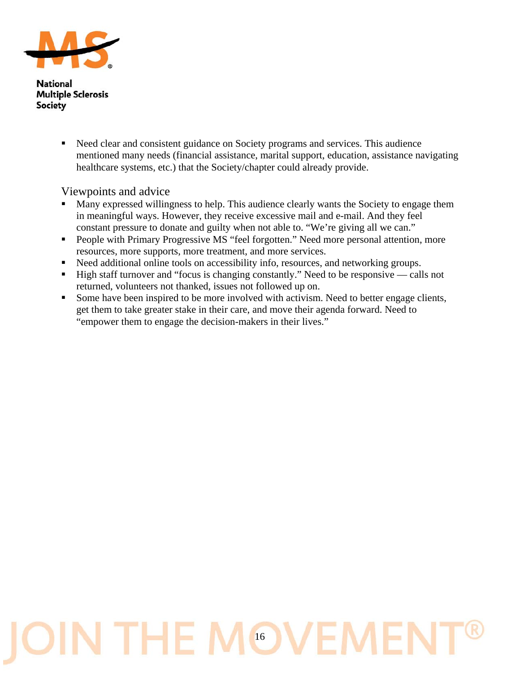

> Need clear and consistent guidance on Society programs and services. This audience mentioned many needs (financial assistance, marital support, education, assistance navigating healthcare systems, etc.) that the Society/chapter could already provide.

Viewpoints and advice

- Many expressed willingness to help. This audience clearly wants the Society to engage them in meaningful ways. However, they receive excessive mail and e-mail. And they feel constant pressure to donate and guilty when not able to. "We're giving all we can."
- **People with Primary Progressive MS "feel forgotten." Need more personal attention, more** resources, more supports, more treatment, and more services.
- Need additional online tools on accessibility info, resources, and networking groups.
- High staff turnover and "focus is changing constantly." Need to be responsive calls not returned, volunteers not thanked, issues not followed up on.
- Some have been inspired to be more involved with activism. Need to better engage clients, get them to take greater stake in their care, and move their agenda forward. Need to "empower them to engage the decision-makers in their lives."

## IN THE MOVEN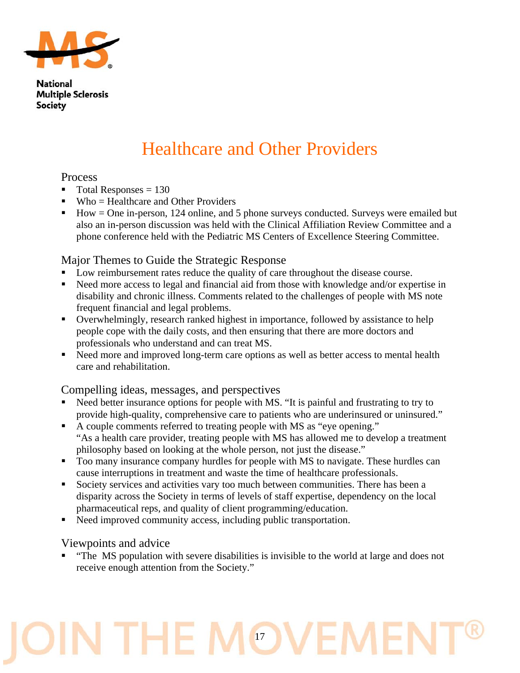

## Healthcare and Other Providers

#### Process

- $\blacksquare$  Total Responses = 130
- Who = Healthcare and Other Providers
- How = One in-person, 124 online, and 5 phone surveys conducted. Surveys were emailed but also an in-person discussion was held with the Clinical Affiliation Review Committee and a phone conference held with the Pediatric MS Centers of Excellence Steering Committee.

#### Major Themes to Guide the Strategic Response

- Low reimbursement rates reduce the quality of care throughout the disease course.
- Need more access to legal and financial aid from those with knowledge and/or expertise in disability and chronic illness. Comments related to the challenges of people with MS note frequent financial and legal problems.
- Overwhelmingly, research ranked highest in importance, followed by assistance to help people cope with the daily costs, and then ensuring that there are more doctors and professionals who understand and can treat MS.
- Need more and improved long-term care options as well as better access to mental health care and rehabilitation.

#### Compelling ideas, messages, and perspectives

- Need better insurance options for people with MS. "It is painful and frustrating to try to provide high-quality, comprehensive care to patients who are underinsured or uninsured."
- A couple comments referred to treating people with MS as "eye opening." "As a health care provider, treating people with MS has allowed me to develop a treatment philosophy based on looking at the whole person, not just the disease."
- Too many insurance company hurdles for people with MS to navigate. These hurdles can cause interruptions in treatment and waste the time of healthcare professionals.
- Society services and activities vary too much between communities. There has been a disparity across the Society in terms of levels of staff expertise, dependency on the local pharmaceutical reps, and quality of client programming/education.
- Need improved community access, including public transportation.

#### Viewpoints and advice

 "The MS population with severe disabilities is invisible to the world at large and does not receive enough attention from the Society."

## N THE M 17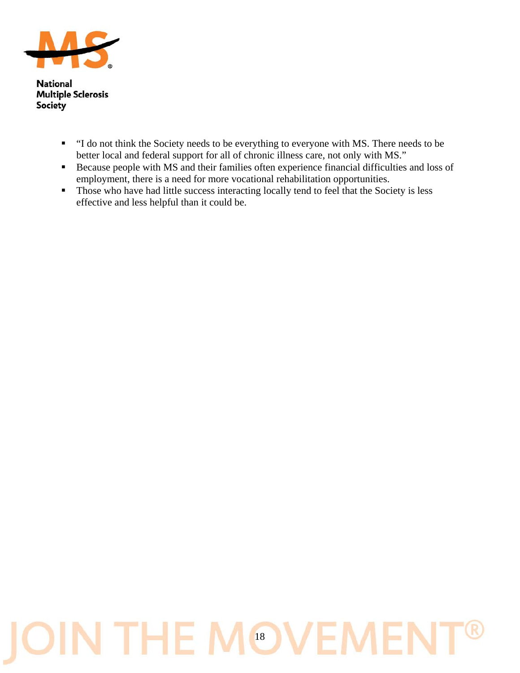

- "I do not think the Society needs to be everything to everyone with MS. There needs to be better local and federal support for all of chronic illness care, not only with MS."
- Because people with MS and their families often experience financial difficulties and loss of employment, there is a need for more vocational rehabilitation opportunities.
- Those who have had little success interacting locally tend to feel that the Society is less effective and less helpful than it could be.

## IN THE MOVEM  $\cup$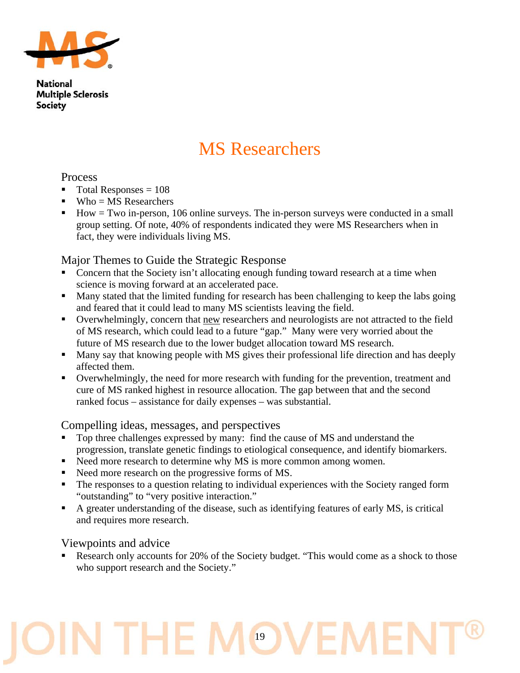

### MS Researchers

#### Process

- $\blacksquare$  Total Responses = 108
- $Wh_0 = MS$  Researchers
- $\blacksquare$  How = Two in-person, 106 online surveys. The in-person surveys were conducted in a small group setting. Of note, 40% of respondents indicated they were MS Researchers when in fact, they were individuals living MS.

#### Major Themes to Guide the Strategic Response

- Concern that the Society isn't allocating enough funding toward research at a time when science is moving forward at an accelerated pace.
- Many stated that the limited funding for research has been challenging to keep the labs going and feared that it could lead to many MS scientists leaving the field.
- Overwhelmingly, concern that new researchers and neurologists are not attracted to the field of MS research, which could lead to a future "gap." Many were very worried about the future of MS research due to the lower budget allocation toward MS research.
- **Many say that knowing people with MS gives their professional life direction and has deeply** affected them.
- Overwhelmingly, the need for more research with funding for the prevention, treatment and cure of MS ranked highest in resource allocation. The gap between that and the second ranked focus – assistance for daily expenses – was substantial.

#### Compelling ideas, messages, and perspectives

- Top three challenges expressed by many: find the cause of MS and understand the progression, translate genetic findings to etiological consequence, and identify biomarkers.
- Need more research to determine why MS is more common among women.
- Need more research on the progressive forms of MS.
- The responses to a question relating to individual experiences with the Society ranged form "outstanding" to "very positive interaction."
- A greater understanding of the disease, such as identifying features of early MS, is critical and requires more research.

#### Viewpoints and advice

 Research only accounts for 20% of the Society budget. "This would come as a shock to those who support research and the Society."

## N THE I 19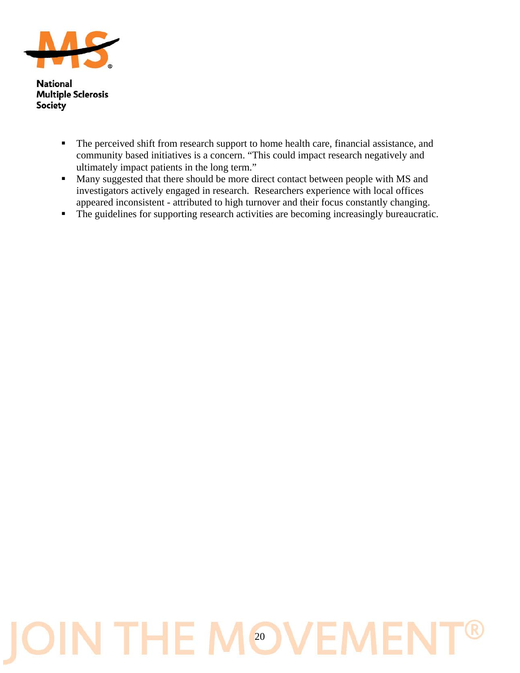

- The perceived shift from research support to home health care, financial assistance, and community based initiatives is a concern. "This could impact research negatively and ultimately impact patients in the long term."
- Many suggested that there should be more direct contact between people with MS and investigators actively engaged in research. Researchers experience with local offices appeared inconsistent - attributed to high turnover and their focus constantly changing.
- The guidelines for supporting research activities are becoming increasingly bureaucratic.

## IN THE MOVEM IO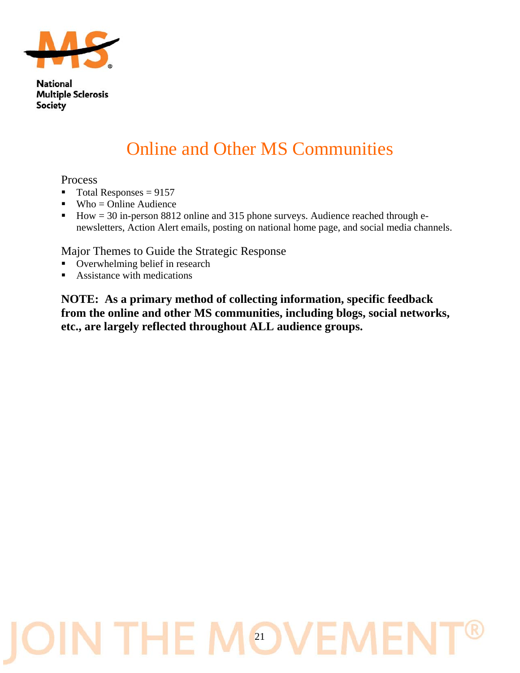

## Online and Other MS Communities

#### Process

- $\blacksquare$  Total Responses = 9157
- $Wh_0 = 0$ nline Audience
- $\blacksquare$  How = 30 in-person 8812 online and 315 phone surveys. Audience reached through enewsletters, Action Alert emails, posting on national home page, and social media channels.

Major Themes to Guide the Strategic Response

- Overwhelming belief in research
- Assistance with medications

**NOTE: As a primary method of collecting information, specific feedback from the online and other MS communities, including blogs, social networks, etc., are largely reflected throughout ALL audience groups.** 

## IN THE MOV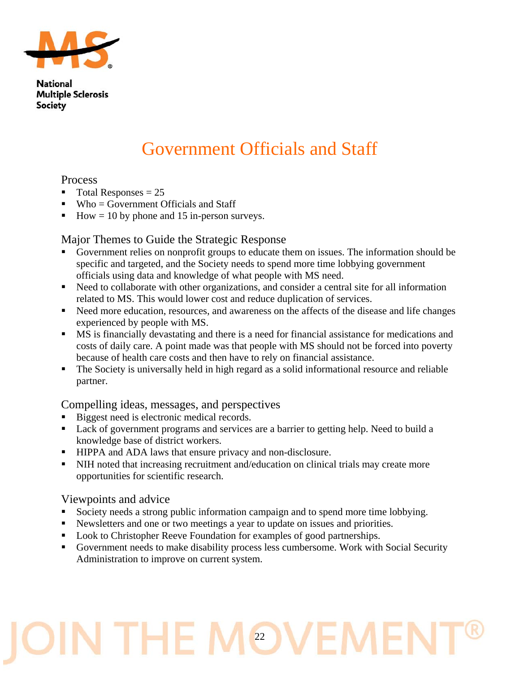

## Government Officials and Staff

#### Process

- $\blacksquare$  Total Responses = 25
- $\blacksquare$  Who = Government Officials and Staff
- How  $= 10$  by phone and 15 in-person surveys.

#### Major Themes to Guide the Strategic Response

- Government relies on nonprofit groups to educate them on issues. The information should be specific and targeted, and the Society needs to spend more time lobbying government officials using data and knowledge of what people with MS need.
- Need to collaborate with other organizations, and consider a central site for all information related to MS. This would lower cost and reduce duplication of services.
- Need more education, resources, and awareness on the affects of the disease and life changes experienced by people with MS.
- MS is financially devastating and there is a need for financial assistance for medications and costs of daily care. A point made was that people with MS should not be forced into poverty because of health care costs and then have to rely on financial assistance.
- The Society is universally held in high regard as a solid informational resource and reliable partner.

#### Compelling ideas, messages, and perspectives

- Biggest need is electronic medical records.
- Lack of government programs and services are a barrier to getting help. Need to build a knowledge base of district workers.
- **HIPPA and ADA laws that ensure privacy and non-disclosure.**
- In NIH noted that increasing recruitment and/education on clinical trials may create more opportunities for scientific research.

#### Viewpoints and advice

- Society needs a strong public information campaign and to spend more time lobbying.
- Newsletters and one or two meetings a year to update on issues and priorities.
- **Look to Christopher Reeve Foundation for examples of good partnerships.**
- Government needs to make disability process less cumbersome. Work with Social Security Administration to improve on current system.

## J THE. 22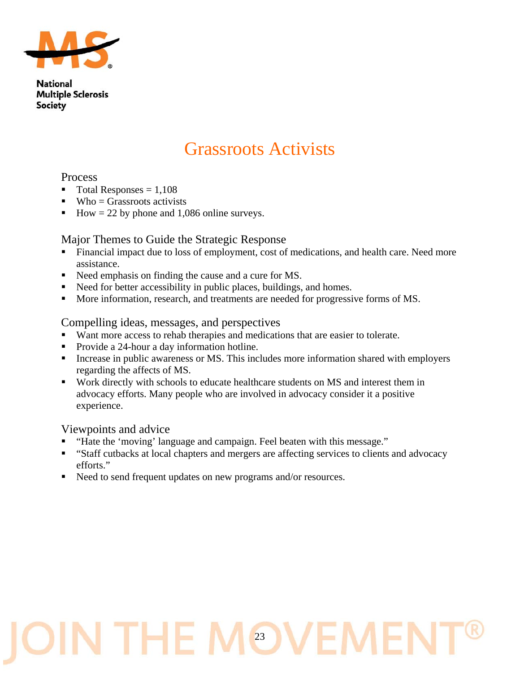

### Grassroots Activists

#### Process

- $\blacksquare$  Total Responses = 1,108
- $\blacksquare$  Who = Grassroots activists
- How  $= 22$  by phone and 1,086 online surveys.

#### Major Themes to Guide the Strategic Response

- Financial impact due to loss of employment, cost of medications, and health care. Need more assistance.
- Need emphasis on finding the cause and a cure for MS.
- Need for better accessibility in public places, buildings, and homes.
- More information, research, and treatments are needed for progressive forms of MS.

#### Compelling ideas, messages, and perspectives

- Want more access to rehab therapies and medications that are easier to tolerate.
- Provide a 24-hour a day information hotline.
- Increase in public awareness or MS. This includes more information shared with employers regarding the affects of MS.
- Work directly with schools to educate healthcare students on MS and interest them in advocacy efforts. Many people who are involved in advocacy consider it a positive experience.

#### Viewpoints and advice

- "Hate the 'moving' language and campaign. Feel beaten with this message."
- "Staff cutbacks at local chapters and mergers are affecting services to clients and advocacy efforts."
- Need to send frequent updates on new programs and/or resources.

## N THE I 23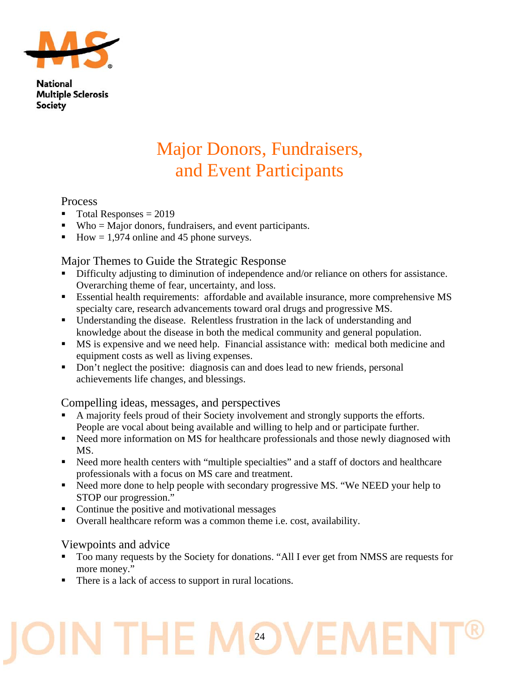

### Major Donors, Fundraisers, and Event Participants

#### Process

- $\blacksquare$  Total Responses = 2019
- Who = Major donors, fundraisers, and event participants.
- How =  $1,974$  online and 45 phone surveys.

#### Major Themes to Guide the Strategic Response

- Difficulty adjusting to diminution of independence and/or reliance on others for assistance. Overarching theme of fear, uncertainty, and loss.
- Essential health requirements: affordable and available insurance, more comprehensive MS specialty care, research advancements toward oral drugs and progressive MS.
- Understanding the disease. Relentless frustration in the lack of understanding and knowledge about the disease in both the medical community and general population.
- MS is expensive and we need help. Financial assistance with: medical both medicine and equipment costs as well as living expenses.
- Don't neglect the positive: diagnosis can and does lead to new friends, personal achievements life changes, and blessings.

#### Compelling ideas, messages, and perspectives

- A majority feels proud of their Society involvement and strongly supports the efforts. People are vocal about being available and willing to help and or participate further.
- Need more information on MS for healthcare professionals and those newly diagnosed with MS.
- Need more health centers with "multiple specialties" and a staff of doctors and healthcare professionals with a focus on MS care and treatment.
- Need more done to help people with secondary progressive MS. "We NEED your help to STOP our progression."
- Continue the positive and motivational messages
- Overall healthcare reform was a common theme i.e. cost, availability.

#### Viewpoints and advice

Too many requests by the Society for donations. "All I ever get from NMSS are requests for more money."

24

There is a lack of access to support in rural locations.

J THE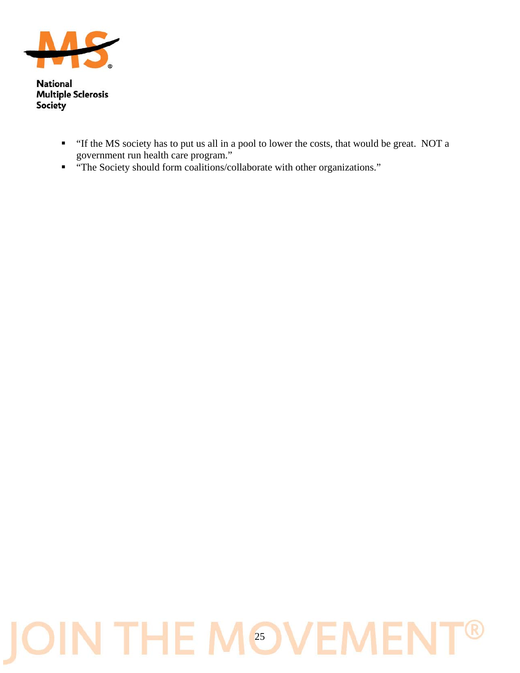

- "If the MS society has to put us all in a pool to lower the costs, that would be great. NOT a government run health care program."
- "The Society should form coalitions/collaborate with other organizations."

## **JOIN THE MOVEME**  $\mathbb B$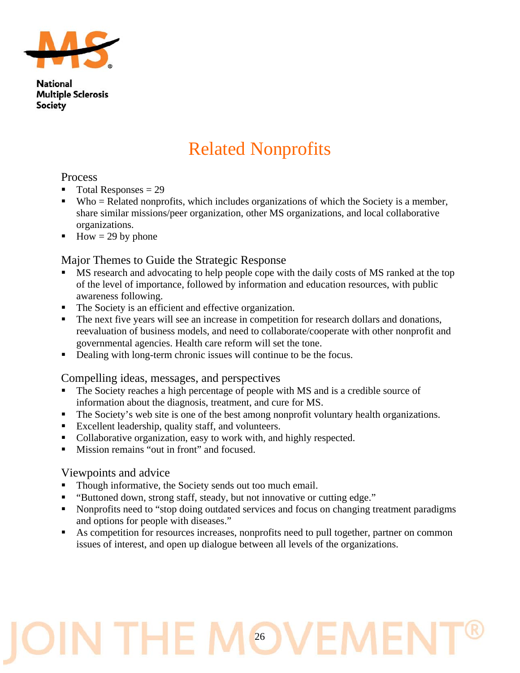

## Related Nonprofits

#### Process

- $\blacksquare$  Total Responses = 29
- $\blacksquare$  Who = Related nonprofits, which includes organizations of which the Society is a member, share similar missions/peer organization, other MS organizations, and local collaborative organizations.
- How = 29 by phone

#### Major Themes to Guide the Strategic Response

- MS research and advocating to help people cope with the daily costs of MS ranked at the top of the level of importance, followed by information and education resources, with public awareness following.
- The Society is an efficient and effective organization.
- The next five years will see an increase in competition for research dollars and donations, reevaluation of business models, and need to collaborate/cooperate with other nonprofit and governmental agencies. Health care reform will set the tone.
- Dealing with long-term chronic issues will continue to be the focus.

#### Compelling ideas, messages, and perspectives

- The Society reaches a high percentage of people with MS and is a credible source of information about the diagnosis, treatment, and cure for MS.
- The Society's web site is one of the best among nonprofit voluntary health organizations.
- Excellent leadership, quality staff, and volunteers.
- Collaborative organization, easy to work with, and highly respected.
- Mission remains "out in front" and focused.

#### Viewpoints and advice

- Though informative, the Society sends out too much email.
- "Buttoned down, strong staff, steady, but not innovative or cutting edge."
- Nonprofits need to "stop doing outdated services and focus on changing treatment paradigms and options for people with diseases."
- As competition for resources increases, nonprofits need to pull together, partner on common issues of interest, and open up dialogue between all levels of the organizations.

## J THE. 26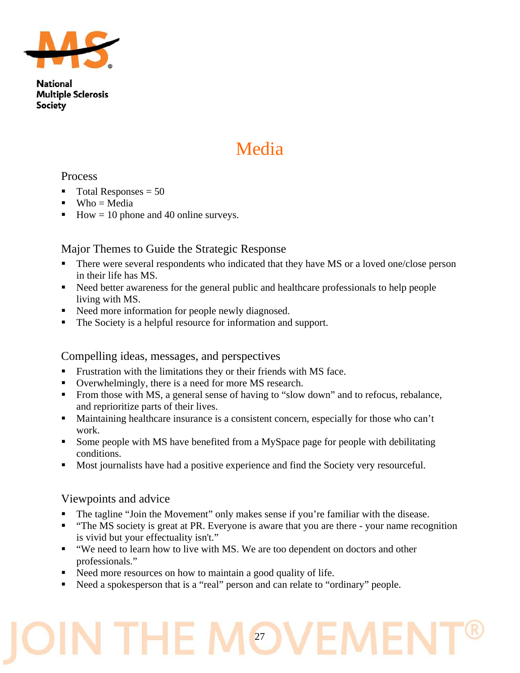

## Media

#### Process

- Total Responses = 50
- $Wh_0 = Media$
- How = 10 phone and 40 online surveys.

#### Major Themes to Guide the Strategic Response

- There were several respondents who indicated that they have MS or a loved one/close person in their life has MS.
- Need better awareness for the general public and healthcare professionals to help people living with MS.
- Need more information for people newly diagnosed.
- The Society is a helpful resource for information and support.

#### Compelling ideas, messages, and perspectives

- Frustration with the limitations they or their friends with MS face.
- Overwhelmingly, there is a need for more MS research.
- From those with MS, a general sense of having to "slow down" and to refocus, rebalance, and reprioritize parts of their lives.
- Maintaining healthcare insurance is a consistent concern, especially for those who can't work.
- Some people with MS have benefited from a MySpace page for people with debilitating conditions.
- Most journalists have had a positive experience and find the Society very resourceful.

#### Viewpoints and advice

- The tagline "Join the Movement" only makes sense if you're familiar with the disease.
- "The MS society is great at PR. Everyone is aware that you are there your name recognition is vivid but your effectuality isn't."
- "We need to learn how to live with MS. We are too dependent on doctors and other professionals."
- Need more resources on how to maintain a good quality of life.
- Need a spokesperson that is a "real" person and can relate to "ordinary" people.

## 27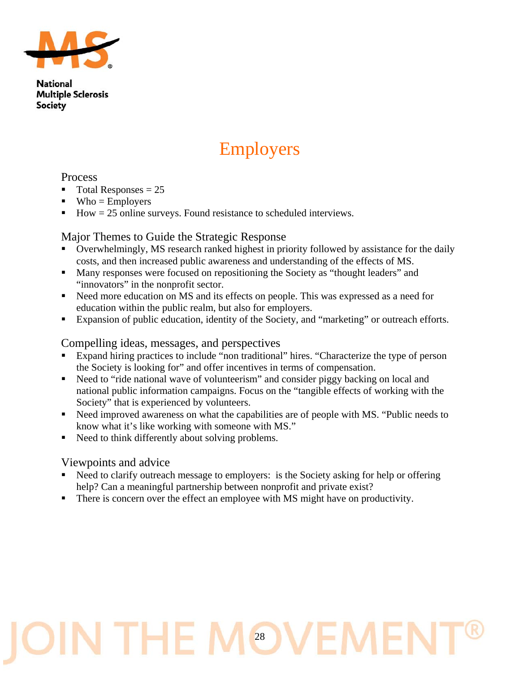

## Employers

#### **Process**

- $\blacksquare$  Total Responses = 25
- $\blacksquare$  Who = Employers
- How = 25 online surveys. Found resistance to scheduled interviews.

#### Major Themes to Guide the Strategic Response

- Overwhelmingly, MS research ranked highest in priority followed by assistance for the daily costs, and then increased public awareness and understanding of the effects of MS.
- **Many responses were focused on repositioning the Society as "thought leaders" and** "innovators" in the nonprofit sector.
- Need more education on MS and its effects on people. This was expressed as a need for education within the public realm, but also for employers.
- Expansion of public education, identity of the Society, and "marketing" or outreach efforts.

#### Compelling ideas, messages, and perspectives

- Expand hiring practices to include "non traditional" hires. "Characterize the type of person the Society is looking for" and offer incentives in terms of compensation.
- Need to "ride national wave of volunteerism" and consider piggy backing on local and national public information campaigns. Focus on the "tangible effects of working with the Society" that is experienced by volunteers.
- Need improved awareness on what the capabilities are of people with MS. "Public needs to know what it's like working with someone with MS."
- Need to think differently about solving problems.

#### Viewpoints and advice

- Need to clarify outreach message to employers: is the Society asking for help or offering help? Can a meaningful partnership between nonprofit and private exist?
- There is concern over the effect an employee with MS might have on productivity.

## N THE I 28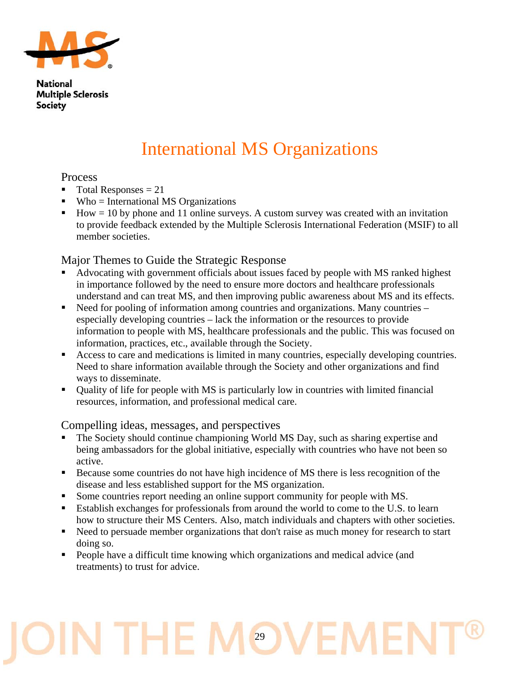

## International MS Organizations

#### **Process**

- $\blacksquare$  Total Responses = 21
- $\blacksquare$  Who = International MS Organizations
- $How = 10 by phone and 11 online surveys. A custom survey was created with an invitation.$ to provide feedback extended by the Multiple Sclerosis International Federation (MSIF) to all member societies.

#### Major Themes to Guide the Strategic Response

- Advocating with government officials about issues faced by people with MS ranked highest in importance followed by the need to ensure more doctors and healthcare professionals understand and can treat MS, and then improving public awareness about MS and its effects.
- Need for pooling of information among countries and organizations. Many countries especially developing countries – lack the information or the resources to provide information to people with MS, healthcare professionals and the public. This was focused on information, practices, etc., available through the Society.
- Access to care and medications is limited in many countries, especially developing countries. Need to share information available through the Society and other organizations and find ways to disseminate.
- Quality of life for people with MS is particularly low in countries with limited financial resources, information, and professional medical care.

#### Compelling ideas, messages, and perspectives

- The Society should continue championing World MS Day, such as sharing expertise and being ambassadors for the global initiative, especially with countries who have not been so active.
- Because some countries do not have high incidence of MS there is less recognition of the disease and less established support for the MS organization.
- Some countries report needing an online support community for people with MS.
- Establish exchanges for professionals from around the world to come to the U.S. to learn how to structure their MS Centers. Also, match individuals and chapters with other societies.
- Need to persuade member organizations that don't raise as much money for research to start doing so.
- **People have a difficult time knowing which organizations and medical advice (and** treatments) to trust for advice.

## J THE I 29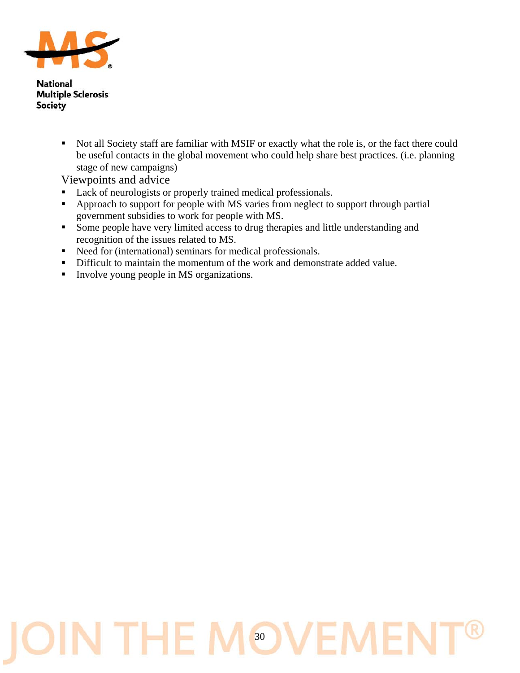

> • Not all Society staff are familiar with MSIF or exactly what the role is, or the fact there could be useful contacts in the global movement who could help share best practices. (i.e. planning stage of new campaigns)

Viewpoints and advice

- Lack of neurologists or properly trained medical professionals.
- Approach to support for people with MS varies from neglect to support through partial government subsidies to work for people with MS.
- Some people have very limited access to drug therapies and little understanding and recognition of the issues related to MS.
- Need for (international) seminars for medical professionals.
- Difficult to maintain the momentum of the work and demonstrate added value.
- Involve young people in MS organizations.

## IN THE MOVEN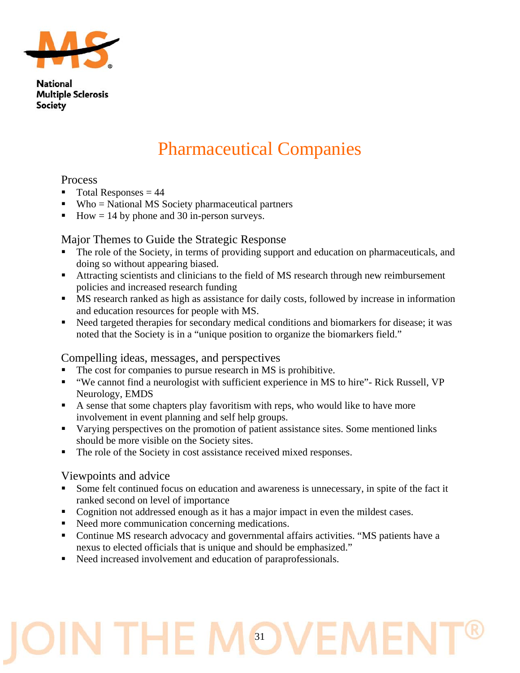

### Pharmaceutical Companies

#### Process

- $\blacksquare$  Total Responses = 44
- $\blacksquare$  Who = National MS Society pharmaceutical partners
- How  $= 14$  by phone and 30 in-person surveys.

#### Major Themes to Guide the Strategic Response

- The role of the Society, in terms of providing support and education on pharmaceuticals, and doing so without appearing biased.
- Attracting scientists and clinicians to the field of MS research through new reimbursement policies and increased research funding
- MS research ranked as high as assistance for daily costs, followed by increase in information and education resources for people with MS.
- Need targeted therapies for secondary medical conditions and biomarkers for disease; it was noted that the Society is in a "unique position to organize the biomarkers field."

#### Compelling ideas, messages, and perspectives

- The cost for companies to pursue research in MS is prohibitive.
- "We cannot find a neurologist with sufficient experience in MS to hire"- Rick Russell, VP Neurology, EMDS
- A sense that some chapters play favoritism with reps, who would like to have more involvement in event planning and self help groups.
- Varying perspectives on the promotion of patient assistance sites. Some mentioned links should be more visible on the Society sites.
- The role of the Society in cost assistance received mixed responses.

#### Viewpoints and advice

- Some felt continued focus on education and awareness is unnecessary, in spite of the fact it ranked second on level of importance
- Cognition not addressed enough as it has a major impact in even the mildest cases.
- Need more communication concerning medications.
- Continue MS research advocacy and governmental affairs activities. "MS patients have a nexus to elected officials that is unique and should be emphasized."
- Need increased involvement and education of paraprofessionals.

## J THE I 31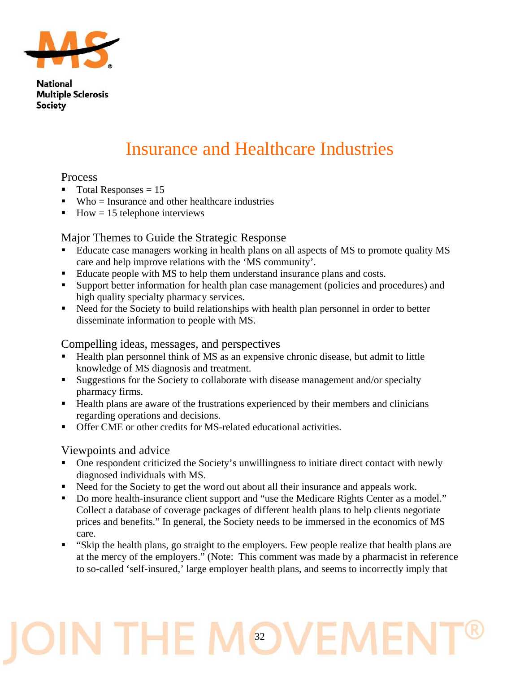

### Insurance and Healthcare Industries

#### Process

- $\blacksquare$  Total Responses = 15
- $Wh_0$  = Insurance and other healthcare industries
- $How = 15$  telephone interviews

#### Major Themes to Guide the Strategic Response

- Educate case managers working in health plans on all aspects of MS to promote quality MS care and help improve relations with the 'MS community'.
- Educate people with MS to help them understand insurance plans and costs.
- Support better information for health plan case management (policies and procedures) and high quality specialty pharmacy services.
- Need for the Society to build relationships with health plan personnel in order to better disseminate information to people with MS.

#### Compelling ideas, messages, and perspectives

- Health plan personnel think of MS as an expensive chronic disease, but admit to little knowledge of MS diagnosis and treatment.
- Suggestions for the Society to collaborate with disease management and/or specialty pharmacy firms.
- Health plans are aware of the frustrations experienced by their members and clinicians regarding operations and decisions.
- Offer CME or other credits for MS-related educational activities.

#### Viewpoints and advice

- One respondent criticized the Society's unwillingness to initiate direct contact with newly diagnosed individuals with MS.
- Need for the Society to get the word out about all their insurance and appeals work.
- Do more health-insurance client support and "use the Medicare Rights Center as a model." Collect a database of coverage packages of different health plans to help clients negotiate prices and benefits." In general, the Society needs to be immersed in the economics of MS care.
- "Skip the health plans, go straight to the employers. Few people realize that health plans are at the mercy of the employers." (Note: This comment was made by a pharmacist in reference to so-called 'self-insured,' large employer health plans, and seems to incorrectly imply that

## J THE 32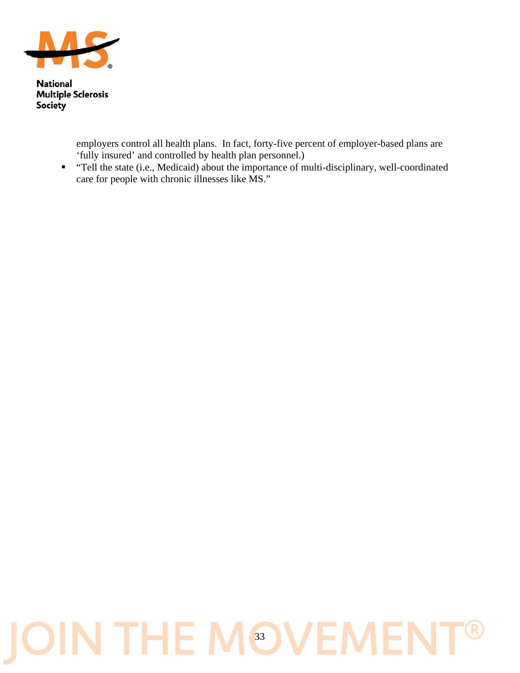

> employers control all health plans. In fact, forty-five percent of employer-based plans are 'fully insured' and controlled by health plan personnel.)

 "Tell the state (i.e., Medicaid) about the importance of multi-disciplinary, well-coordinated care for people with chronic illnesses like MS."

## **JOIN THE MOVEME** R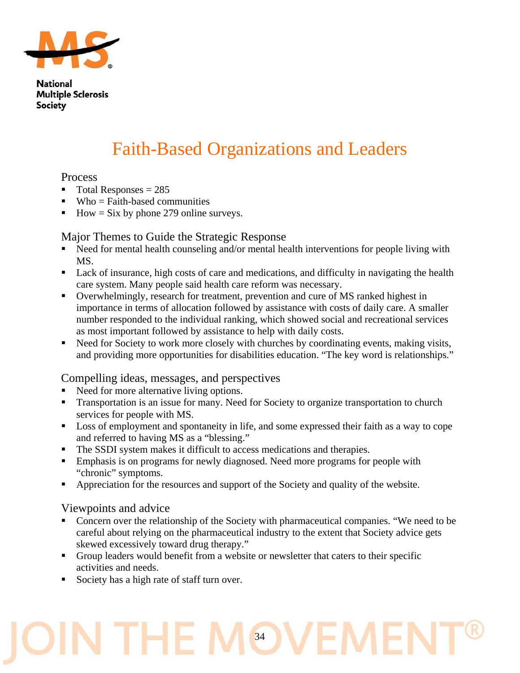

## Faith-Based Organizations and Leaders

#### **Process**

- $\blacksquare$  Total Responses = 285
- $\blacksquare$  Who = Faith-based communities
- $How = Six by phone 279 online surveys.$

#### Major Themes to Guide the Strategic Response

- Need for mental health counseling and/or mental health interventions for people living with MS.
- Lack of insurance, high costs of care and medications, and difficulty in navigating the health care system. Many people said health care reform was necessary.
- Overwhelmingly, research for treatment, prevention and cure of MS ranked highest in importance in terms of allocation followed by assistance with costs of daily care. A smaller number responded to the individual ranking, which showed social and recreational services as most important followed by assistance to help with daily costs.
- Need for Society to work more closely with churches by coordinating events, making visits, and providing more opportunities for disabilities education. "The key word is relationships."

#### Compelling ideas, messages, and perspectives

- Need for more alternative living options.
- **Transportation is an issue for many. Need for Society to organize transportation to church** services for people with MS.
- Loss of employment and spontaneity in life, and some expressed their faith as a way to cope and referred to having MS as a "blessing."
- The SSDI system makes it difficult to access medications and therapies.
- Emphasis is on programs for newly diagnosed. Need more programs for people with "chronic" symptoms.
- Appreciation for the resources and support of the Society and quality of the website.

#### Viewpoints and advice

 Concern over the relationship of the Society with pharmaceutical companies. "We need to be careful about relying on the pharmaceutical industry to the extent that Society advice gets skewed excessively toward drug therapy."

34

- Group leaders would benefit from a website or newsletter that caters to their specific activities and needs.
- Society has a high rate of staff turn over.

THE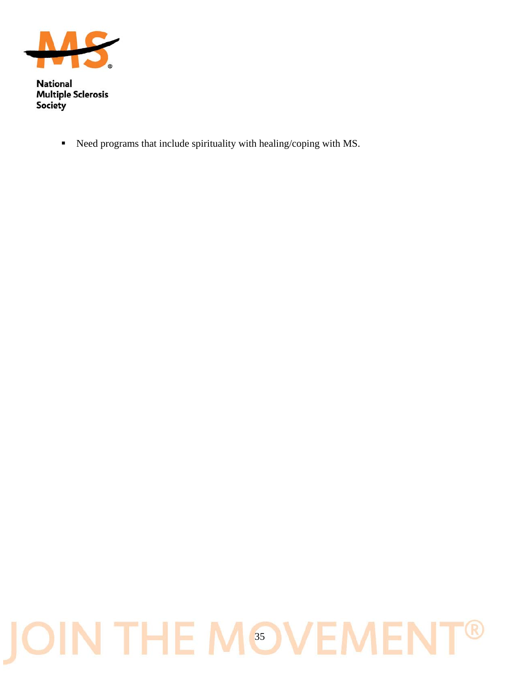

Need programs that include spirituality with healing/coping with MS.

## **JOIN THE MOVEME**  $\bigcirc$